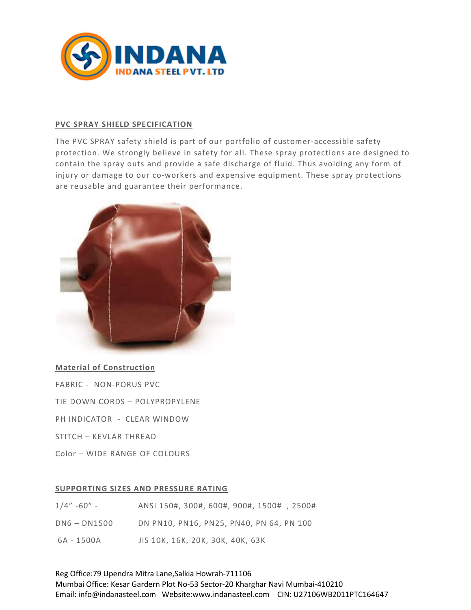

# PVC SPRAY SHIELD SPECIFICATION

The PVC SPRAY safety shield is part of our portfolio of customer-accessible safety protection. We strongly believe in safety for all. These spray protections are designed to contain the spray outs and provide a safe discharge of fluid. Thus avoiding any form of injury or damage to our co-workers and expensive equipment. These spray protections are reusable and guarantee their performance.



# Material of Construction

- FABRIC NON-PORUS PVC
- TIE DOWN CORDS POLYPROPYLENE
- PH INDICATOR CLEAR WINDOW
- STITCH KEVLAR THREAD
- Color WIDE RANGE OF COLOURS

## SUPPORTING SIZES AND PRESSURE RATING

| $1/4" - 60" -$ | ANSI 150#, 300#, 600#, 900#, 1500#, 2500# |
|----------------|-------------------------------------------|
| DN6 - DN1500   | DN PN10, PN16, PN25, PN40, PN 64, PN 100  |
| 6A - 1500A     | JIS 10K, 16K, 20K, 30K, 40K, 63K          |

Reg Office:79 Upendra Mitra Lane,Salkia Howrah-711106 Mumbai Office: Kesar Gardern Plot No-53 Sector-20 Kharghar Navi Mumbai-410210 Email: info@indanasteel.com Website:www.indanasteel.com CIN: U27106WB2011PTC164647